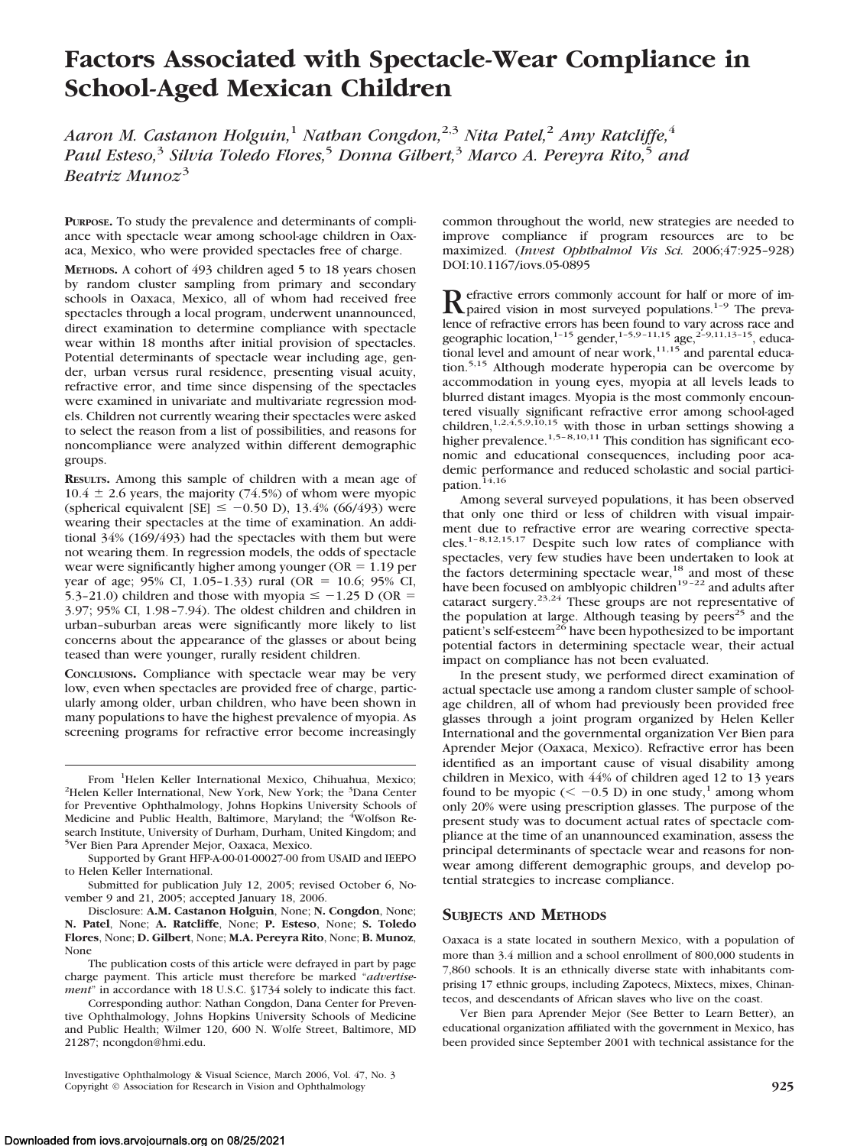# **Factors Associated with Spectacle-Wear Compliance in School-Aged Mexican Children**

*Aaron M. Castanon Holguin,*<sup>1</sup> *Nathan Congdon,*2,3 *Nita Patel,*<sup>2</sup> *Amy Ratcliffe,*<sup>4</sup> *Paul Esteso,*<sup>3</sup> *Silvia Toledo Flores,*<sup>5</sup> *Donna Gilbert,*<sup>3</sup> *Marco A. Pereyra Rito,*<sup>5</sup> *and Beatriz Munoz*<sup>3</sup>

**PURPOSE.** To study the prevalence and determinants of compliance with spectacle wear among school-age children in Oaxaca, Mexico, who were provided spectacles free of charge.

**METHODS.** A cohort of 493 children aged 5 to 18 years chosen by random cluster sampling from primary and secondary schools in Oaxaca, Mexico, all of whom had received free spectacles through a local program, underwent unannounced, direct examination to determine compliance with spectacle wear within 18 months after initial provision of spectacles. Potential determinants of spectacle wear including age, gender, urban versus rural residence, presenting visual acuity, refractive error, and time since dispensing of the spectacles were examined in univariate and multivariate regression models. Children not currently wearing their spectacles were asked to select the reason from a list of possibilities, and reasons for noncompliance were analyzed within different demographic groups.

**RESULTS.** Among this sample of children with a mean age of  $10.4 \pm 2.6$  years, the majority (74.5%) of whom were myopic (spherical equivalent [SE]  $\leq -0.50$  D), 13.4% (66/493) were wearing their spectacles at the time of examination. An additional 34% (169/493) had the spectacles with them but were not wearing them. In regression models, the odds of spectacle wear were significantly higher among younger ( $OR = 1.19$  per year of age; 95% CI, 1.05-1.33) rural (OR = 10.6; 95% CI, 5.3-21.0) children and those with myopia  $\le$  -1.25 D (OR = 3.97; 95% CI, 1.98 –7.94). The oldest children and children in urban–suburban areas were significantly more likely to list concerns about the appearance of the glasses or about being teased than were younger, rurally resident children.

**CONCLUSIONS.** Compliance with spectacle wear may be very low, even when spectacles are provided free of charge, particularly among older, urban children, who have been shown in many populations to have the highest prevalence of myopia. As screening programs for refractive error become increasingly

Supported by Grant HFP-A-00-01-00027-00 from USAID and IEEPO to Helen Keller International.

Submitted for publication July 12, 2005; revised October 6, November 9 and 21, 2005; accepted January 18, 2006.

Disclosure: **A.M. Castanon Holguin**, None; **N. Congdon**, None; **N. Patel**, None; **A. Ratcliffe**, None; **P. Esteso**, None; **S. Toledo Flores**, None; **D. Gilbert**, None; **M.A. Pereyra Rito**, None; **B. Munoz**, None

The publication costs of this article were defrayed in part by page charge payment. This article must therefore be marked "*advertisement*" in accordance with 18 U.S.C. §1734 solely to indicate this fact.

Corresponding author: Nathan Congdon, Dana Center for Preventive Ophthalmology, Johns Hopkins University Schools of Medicine and Public Health; Wilmer 120, 600 N. Wolfe Street, Baltimore, MD 21287; ncongdon@hmi.edu.

Investigative Ophthalmology & Visual Science, March 2006, Vol. 47, No. 3 Copyright © Association for Research in Vision and Ophthalmology **925**

common throughout the world, new strategies are needed to improve compliance if program resources are to be maximized. (*Invest Ophthalmol Vis Sci.* 2006;47:925–928) DOI:10.1167/iovs.05-0895

Refractive errors commonly account for half or more of im-<br>paired vision in most surveyed populations.<sup>1–9</sup> The prevalence of refractive errors has been found to vary across race and geographic location,<sup>1–15</sup> gender,<sup>1–5,9–11,15</sup> age,<sup>2–9,11,13–15</sup>, educational level and amount of near work,  $11,15$  and parental education.<sup>5,15</sup> Although moderate hyperopia can be overcome by accommodation in young eyes, myopia at all levels leads to blurred distant images. Myopia is the most commonly encountered visually significant refractive error among school-aged children,<sup>1,2,4,5,9,10,15</sup> with those in urban settings showing a higher prevalence.<sup>1,5-8,10,11</sup> This condition has significant economic and educational consequences, including poor academic performance and reduced scholastic and social participation.<sup>14,16</sup>

Among several surveyed populations, it has been observed that only one third or less of children with visual impairment due to refractive error are wearing corrective spectacles.<sup>1-8,12,15,17</sup> Despite such low rates of compliance with spectacles, very few studies have been undertaken to look at the factors determining spectacle wear,<sup>18</sup> and most of these have been focused on amblyopic children<sup>19-22</sup> and adults after cataract surgery.23,24 These groups are not representative of the population at large. Although teasing by peers<sup>25</sup> and the patient's self-esteem<sup>26</sup> have been hypothesized to be important potential factors in determining spectacle wear, their actual impact on compliance has not been evaluated.

In the present study, we performed direct examination of actual spectacle use among a random cluster sample of schoolage children, all of whom had previously been provided free glasses through a joint program organized by Helen Keller International and the governmental organization Ver Bien para Aprender Mejor (Oaxaca, Mexico). Refractive error has been identified as an important cause of visual disability among children in Mexico, with 44% of children aged 12 to 13 years found to be myopic ( $\leq -0.5$  D) in one study,<sup>1</sup> among whom only 20% were using prescription glasses. The purpose of the present study was to document actual rates of spectacle compliance at the time of an unannounced examination, assess the principal determinants of spectacle wear and reasons for nonwear among different demographic groups, and develop potential strategies to increase compliance.

# **SUBJECTS AND METHODS**

Oaxaca is a state located in southern Mexico, with a population of more than 3.4 million and a school enrollment of 800,000 students in 7,860 schools. It is an ethnically diverse state with inhabitants comprising 17 ethnic groups, including Zapotecs, Mixtecs, mixes, Chinantecos, and descendants of African slaves who live on the coast.

Ver Bien para Aprender Mejor (See Better to Learn Better), an educational organization affiliated with the government in Mexico, has been provided since September 2001 with technical assistance for the

From <sup>1</sup>Helen Keller International Mexico, Chihuahua, Mexico; From <sup>1</sup>Helen Keller International Mexico, Chihuahua, Mexico; <sup>2</sup>Helen Keller International, New York, New York; the <sup>3</sup>Dana Center for Preventive Ophthalmology, Johns Hopkins University Schools of Medicine and Public Health, Baltimore, Maryland; the <sup>4</sup>Wolfson Research Institute, University of Durham, Durham, United Kingdom; and 5 Ver Bien Para Aprender Mejor, Oaxaca, Mexico.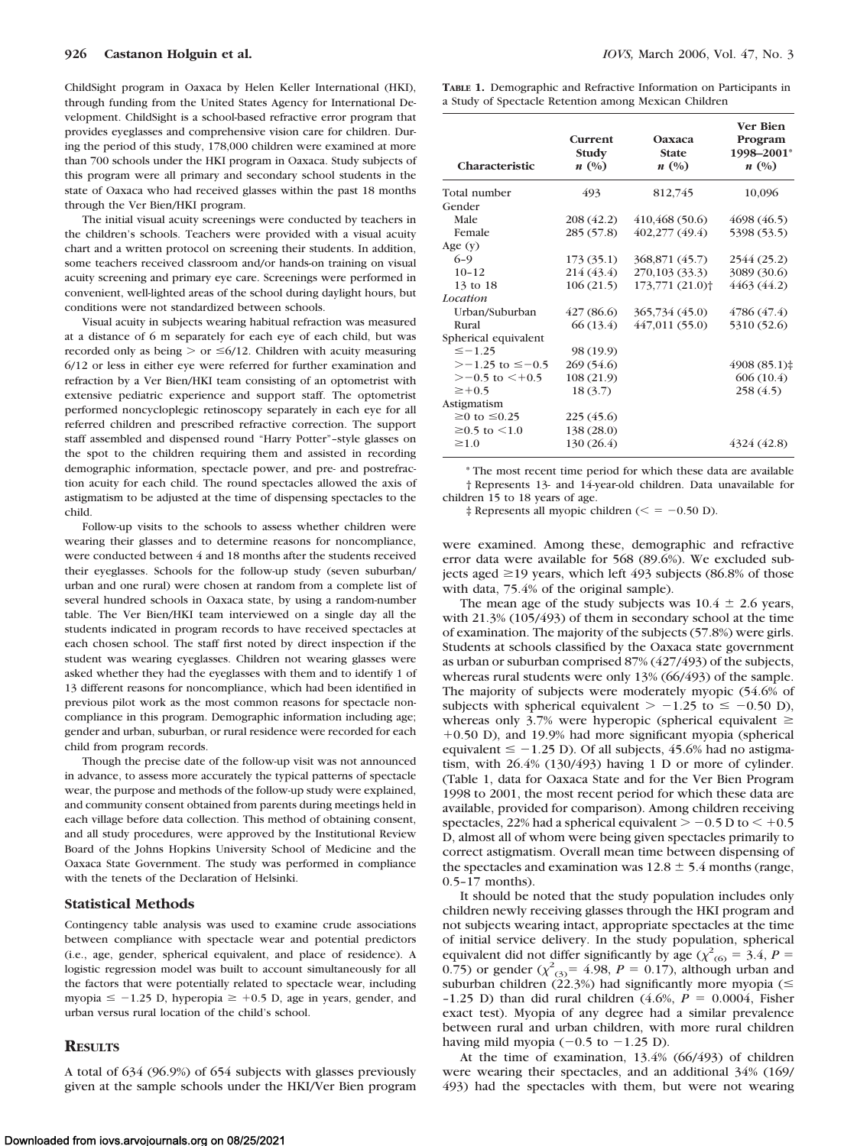ChildSight program in Oaxaca by Helen Keller International (HKI), through funding from the United States Agency for International Development. ChildSight is a school-based refractive error program that provides eyeglasses and comprehensive vision care for children. During the period of this study, 178,000 children were examined at more than 700 schools under the HKI program in Oaxaca. Study subjects of this program were all primary and secondary school students in the state of Oaxaca who had received glasses within the past 18 months through the Ver Bien/HKI program.

The initial visual acuity screenings were conducted by teachers in the children's schools. Teachers were provided with a visual acuity chart and a written protocol on screening their students. In addition, some teachers received classroom and/or hands-on training on visual acuity screening and primary eye care. Screenings were performed in convenient, well-lighted areas of the school during daylight hours, but conditions were not standardized between schools.

Visual acuity in subjects wearing habitual refraction was measured at a distance of 6 m separately for each eye of each child, but was recorded only as being  $>$  or  $\leq 6/12$ . Children with acuity measuring 6/12 or less in either eye were referred for further examination and refraction by a Ver Bien/HKI team consisting of an optometrist with extensive pediatric experience and support staff. The optometrist performed noncycloplegic retinoscopy separately in each eye for all referred children and prescribed refractive correction. The support staff assembled and dispensed round "Harry Potter"–style glasses on the spot to the children requiring them and assisted in recording demographic information, spectacle power, and pre- and postrefraction acuity for each child. The round spectacles allowed the axis of astigmatism to be adjusted at the time of dispensing spectacles to the child.

Follow-up visits to the schools to assess whether children were wearing their glasses and to determine reasons for noncompliance, were conducted between 4 and 18 months after the students received their eyeglasses. Schools for the follow-up study (seven suburban/ urban and one rural) were chosen at random from a complete list of several hundred schools in Oaxaca state, by using a random-number table. The Ver Bien/HKI team interviewed on a single day all the students indicated in program records to have received spectacles at each chosen school. The staff first noted by direct inspection if the student was wearing eyeglasses. Children not wearing glasses were asked whether they had the eyeglasses with them and to identify 1 of 13 different reasons for noncompliance, which had been identified in previous pilot work as the most common reasons for spectacle noncompliance in this program. Demographic information including age; gender and urban, suburban, or rural residence were recorded for each child from program records.

Though the precise date of the follow-up visit was not announced in advance, to assess more accurately the typical patterns of spectacle wear, the purpose and methods of the follow-up study were explained, and community consent obtained from parents during meetings held in each village before data collection. This method of obtaining consent, and all study procedures, were approved by the Institutional Review Board of the Johns Hopkins University School of Medicine and the Oaxaca State Government. The study was performed in compliance with the tenets of the Declaration of Helsinki.

## **Statistical Methods**

Contingency table analysis was used to examine crude associations between compliance with spectacle wear and potential predictors (i.e., age, gender, spherical equivalent, and place of residence). A logistic regression model was built to account simultaneously for all the factors that were potentially related to spectacle wear, including myopia  $\leq -1.25$  D, hyperopia  $\geq +0.5$  D, age in years, gender, and urban versus rural location of the child's school.

## **RESULTS**

A total of 634 (96.9%) of 654 subjects with glasses previously given at the sample schools under the HKI/Ver Bien program

**TABLE 1.** Demographic and Refractive Information on Participants in a Study of Spectacle Retention among Mexican Children

| Characteristic          | Current<br>Study<br>n(%) | <b>Oaxaca</b><br><b>State</b><br>$n \ (\%)$ | Ver Bien<br>Program<br>1998-2001*<br>n(%) |
|-------------------------|--------------------------|---------------------------------------------|-------------------------------------------|
| Total number            | 493                      | 812,745                                     | 10,096                                    |
| Gender                  |                          |                                             |                                           |
| Male                    | 208 (42.2)               | 410,468(50.6)                               | 4698 (46.5)                               |
| Female                  | 285 (57.8)               | 402,277(49.4)                               | 5398 (53.5)                               |
| Age $(y)$               |                          |                                             |                                           |
| $6 - 9$                 | 173(35.1)                | 368,871 (45.7)                              | 2544 (25.2)                               |
| $10 - 12$               | 214 (43.4)               | 270, 103 (33.3)                             | 3089 (30.6)                               |
| 13 to 18                | 106(21.5)                | 173,771 (21.0) <sup>†</sup>                 | 4463 (44.2)                               |
| Location                |                          |                                             |                                           |
| Urban/Suburban          | 427 (86.6)               | 365,734 (45.0)                              | 4786(47.4)                                |
| Rural                   | 66 (13.4)                | 447,011(55.0)                               | 5310 (52.6)                               |
| Spherical equivalent    |                          |                                             |                                           |
| $\le -1.25$             | 98 (19.9)                |                                             |                                           |
| $>-1.25$ to $\leq -0.5$ | 269 (54.6)               |                                             | 4908(85.1)                                |
| $>$ -0.5 to $<$ +0.5    | 108 (21.9)               |                                             | 606(10.4)                                 |
| $\geq +0.5$             | 18(3.7)                  |                                             | 258(4.5)                                  |
| Astigmatism             |                          |                                             |                                           |
| $\geq 0$ to $\leq 0.25$ | 225 (45.6)               |                                             |                                           |
| $≥0.5$ to $≤1.0$        | 138 (28.0)               |                                             |                                           |
| $\geq 1.0$              | 130 (26.4)               |                                             | 4324 (42.8)                               |

\* The most recent time period for which these data are available † Represents 13- and 14-year-old children. Data unavailable for children 15 to 18 years of age.

 $\ddagger$  Represents all myopic children ( $\leq$  = -0.50 D).

were examined. Among these, demographic and refractive error data were available for 568 (89.6%). We excluded subjects aged  $\geq$ 19 years, which left 493 subjects (86.8% of those with data, 75.4% of the original sample).

The mean age of the study subjects was  $10.4 \pm 2.6$  years, with 21.3% (105/493) of them in secondary school at the time of examination. The majority of the subjects (57.8%) were girls. Students at schools classified by the Oaxaca state government as urban or suburban comprised 87% (427/493) of the subjects, whereas rural students were only 13% (66/493) of the sample. The majority of subjects were moderately myopic (54.6% of subjects with spherical equivalent  $> -1.25$  to  $\leq -0.50$  D), whereas only 3.7% were hyperopic (spherical equivalent  $\ge$ 0.50 D), and 19.9% had more significant myopia (spherical equivalent  $\leq -1.25$  D). Of all subjects, 45.6% had no astigmatism, with 26.4% (130/493) having 1 D or more of cylinder. (Table 1, data for Oaxaca State and for the Ver Bien Program 1998 to 2001, the most recent period for which these data are available, provided for comparison). Among children receiving spectacles, 22% had a spherical equivalent  $\geq -0.5$  D to  $\leq +0.5$ D, almost all of whom were being given spectacles primarily to correct astigmatism. Overall mean time between dispensing of the spectacles and examination was  $12.8 \pm 5.4$  months (range, 0.5–17 months).

It should be noted that the study population includes only children newly receiving glasses through the HKI program and not subjects wearing intact, appropriate spectacles at the time of initial service delivery. In the study population, spherical equivalent did not differ significantly by age ( $\chi^2$ <sub>(6)</sub> = 3.4, *P* = 0.75) or gender  $(\chi^2_{(3)} = 4.98, P = 0.17)$ , although urban and suburban children (22.3%) had significantly more myopia ( $\leq$ -1.25 D) than did rural children (4.6%,  $P = 0.0004$ , Fisher exact test). Myopia of any degree had a similar prevalence between rural and urban children, with more rural children having mild myopia  $(-0.5$  to  $-1.25$  D).

At the time of examination, 13.4% (66/493) of children were wearing their spectacles, and an additional 34% (169/ 493) had the spectacles with them, but were not wearing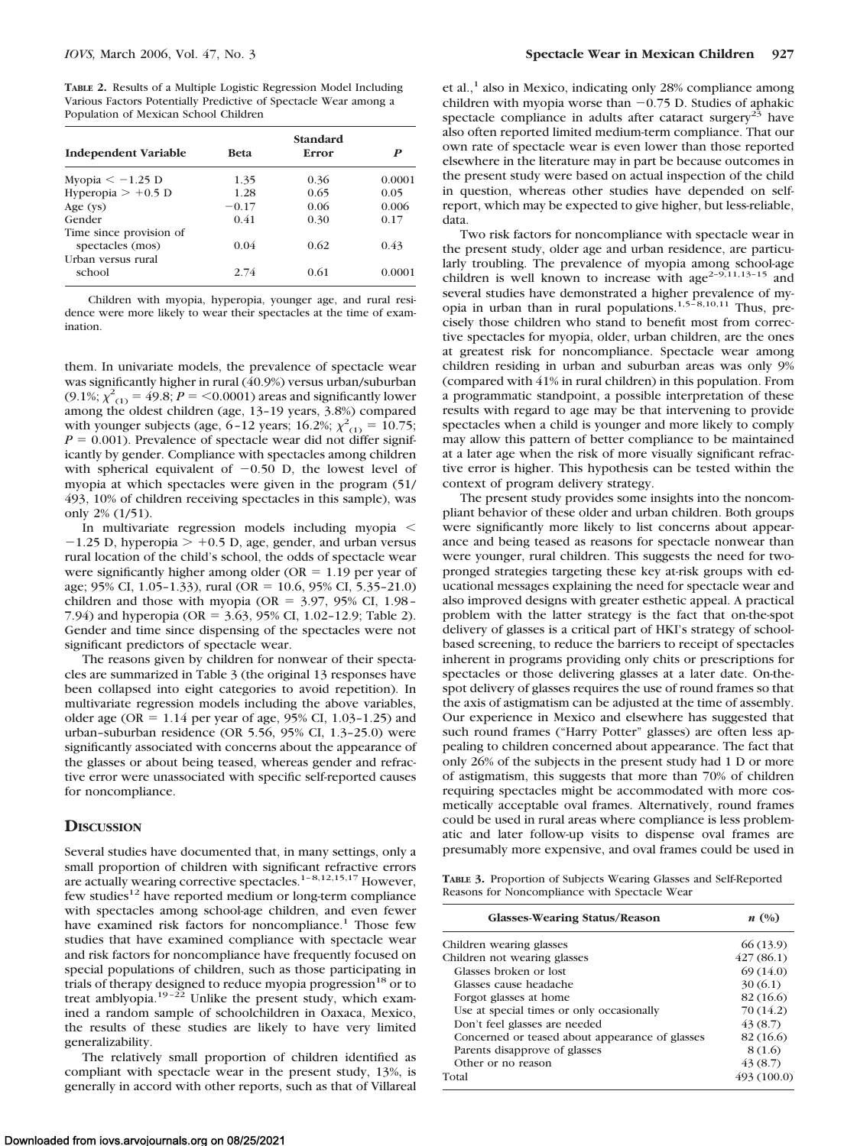| <b>TABLE 2.</b> Results of a Multiple Logistic Regression Model Including |
|---------------------------------------------------------------------------|
| Various Factors Potentially Predictive of Spectacle Wear among a          |
| Population of Mexican School Children                                     |

| <b>Independent Variable</b>                 | <b>Beta</b> | Standard<br>Error | P      |
|---------------------------------------------|-------------|-------------------|--------|
| Myopia $\lt$ -1.25 D                        | 1.35        | 0.36              | 0.0001 |
| Hyperopia $> +0.5$ D                        | 1 28        | 0.65              | 0.05   |
| Age $(ys)$                                  | $-0.17$     | 0.06              | 0.006  |
| Gender                                      | 0.41        | 0.30              | 0.17   |
| Time since provision of<br>spectacles (mos) | 0.04        | 0.62              | 0.43   |
| Urban versus rural<br>school                | 2.74        | 0.61              | 0.0001 |

Children with myopia, hyperopia, younger age, and rural residence were more likely to wear their spectacles at the time of examination.

them. In univariate models, the prevalence of spectacle wear was significantly higher in rural (40.9%) versus urban/suburban  $(9.1\%; \chi^2_{(1)} = 49.8; P = 0.0001)$  areas and significantly lower among the oldest children (age, 13–19 years, 3.8%) compared with younger subjects (age, 6-12 years; 16.2%;  $\chi^2_{(1)} = 10.75$ ;  $P = 0.001$ ). Prevalence of spectacle wear did not differ significantly by gender. Compliance with spectacles among children with spherical equivalent of  $-0.50$  D, the lowest level of myopia at which spectacles were given in the program (51/ 493, 10% of children receiving spectacles in this sample), was only 2% (1/51).

In multivariate regression models including myopia  $-1.25$  D, hyperopia  $> +0.5$  D, age, gender, and urban versus rural location of the child's school, the odds of spectacle wear were significantly higher among older ( $OR = 1.19$  per year of age; 95% CI, 1.05-1.33), rural (OR = 10.6, 95% CI, 5.35-21.0) children and those with myopia (OR =  $3.97$ , 95% CI, 1.98 -7.94) and hyperopia (OR =  $3.63$ , 95% CI, 1.02-12.9; Table 2). Gender and time since dispensing of the spectacles were not significant predictors of spectacle wear.

The reasons given by children for nonwear of their spectacles are summarized in Table 3 (the original 13 responses have been collapsed into eight categories to avoid repetition). In multivariate regression models including the above variables, older age (OR =  $1.14$  per year of age, 95% CI, 1.03-1.25) and urban–suburban residence (OR 5.56, 95% CI, 1.3–25.0) were significantly associated with concerns about the appearance of the glasses or about being teased, whereas gender and refractive error were unassociated with specific self-reported causes for noncompliance.

#### **DISCUSSION**

Several studies have documented that, in many settings, only a small proportion of children with significant refractive errors are actually wearing corrective spectacles.<sup>1-8,12,15,17</sup> However, few studies<sup>12</sup> have reported medium or long-term compliance with spectacles among school-age children, and even fewer have examined risk factors for noncompliance.<sup>1</sup> Those few studies that have examined compliance with spectacle wear and risk factors for noncompliance have frequently focused on special populations of children, such as those participating in trials of therapy designed to reduce myopia progression<sup>18</sup> or to treat amblyopia.<sup>19-22</sup> Unlike the present study, which examined a random sample of schoolchildren in Oaxaca, Mexico, the results of these studies are likely to have very limited generalizability.

The relatively small proportion of children identified as compliant with spectacle wear in the present study, 13%, is generally in accord with other reports, such as that of Villareal et al., $<sup>1</sup>$  also in Mexico, indicating only 28% compliance among</sup> children with myopia worse than  $-0.75$  D. Studies of aphakic spectacle compliance in adults after cataract surgery<sup>23</sup> have also often reported limited medium-term compliance. That our own rate of spectacle wear is even lower than those reported elsewhere in the literature may in part be because outcomes in the present study were based on actual inspection of the child in question, whereas other studies have depended on selfreport, which may be expected to give higher, but less-reliable, data.

Two risk factors for noncompliance with spectacle wear in the present study, older age and urban residence, are particularly troubling. The prevalence of myopia among school-age children is well known to increase with  $age^{2-9,11,13-15}$  and several studies have demonstrated a higher prevalence of my-<br>opia in urban than in rural populations.<sup>1,5–8,10,11</sup> Thus, precisely those children who stand to benefit most from corrective spectacles for myopia, older, urban children, are the ones at greatest risk for noncompliance. Spectacle wear among children residing in urban and suburban areas was only 9% (compared with 41% in rural children) in this population. From a programmatic standpoint, a possible interpretation of these results with regard to age may be that intervening to provide spectacles when a child is younger and more likely to comply may allow this pattern of better compliance to be maintained at a later age when the risk of more visually significant refractive error is higher. This hypothesis can be tested within the context of program delivery strategy.

The present study provides some insights into the noncompliant behavior of these older and urban children. Both groups were significantly more likely to list concerns about appearance and being teased as reasons for spectacle nonwear than were younger, rural children. This suggests the need for twopronged strategies targeting these key at-risk groups with educational messages explaining the need for spectacle wear and also improved designs with greater esthetic appeal. A practical problem with the latter strategy is the fact that on-the-spot delivery of glasses is a critical part of HKI's strategy of schoolbased screening, to reduce the barriers to receipt of spectacles inherent in programs providing only chits or prescriptions for spectacles or those delivering glasses at a later date. On-thespot delivery of glasses requires the use of round frames so that the axis of astigmatism can be adjusted at the time of assembly. Our experience in Mexico and elsewhere has suggested that such round frames ("Harry Potter" glasses) are often less appealing to children concerned about appearance. The fact that only 26% of the subjects in the present study had 1 D or more of astigmatism, this suggests that more than 70% of children requiring spectacles might be accommodated with more cosmetically acceptable oval frames. Alternatively, round frames could be used in rural areas where compliance is less problematic and later follow-up visits to dispense oval frames are presumably more expensive, and oval frames could be used in

**TABLE 3.** Proportion of Subjects Wearing Glasses and Self-Reported Reasons for Noncompliance with Spectacle Wear

| <b>Glasses-Wearing Status/Reason</b>            | n(%)        |  |
|-------------------------------------------------|-------------|--|
| Children wearing glasses                        | 66(13.9)    |  |
| Children not wearing glasses                    | 427(86.1)   |  |
| Glasses broken or lost                          | 69(14.0)    |  |
| Glasses cause headache                          | 30(6.1)     |  |
| Forgot glasses at home                          | 82 (16.6)   |  |
| Use at special times or only occasionally       | 70 (14.2)   |  |
| Don't feel glasses are needed                   | 43(8.7)     |  |
| Concerned or teased about appearance of glasses | 82 (16.6)   |  |
| Parents disapprove of glasses                   | 8(1.6)      |  |
| Other or no reason                              | 43(8.7)     |  |
| Total                                           | 493 (100.0) |  |